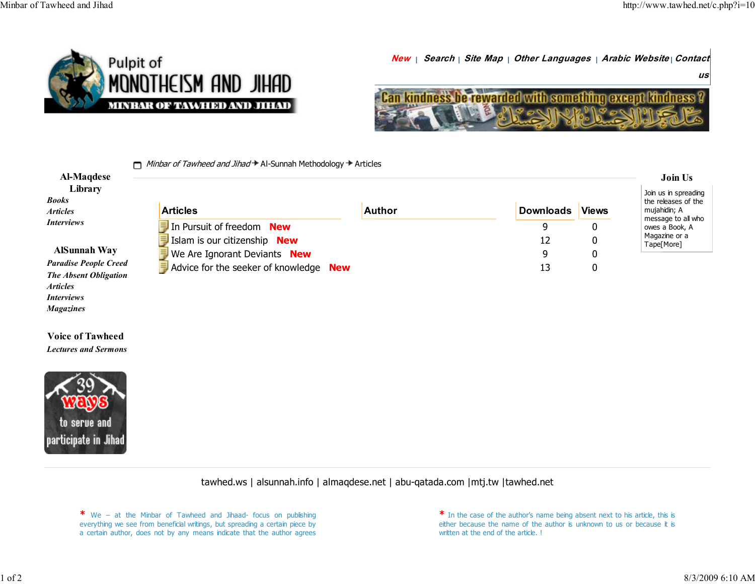

New  $\mid$  Search  $\mid$  Site Map  $\mid$  Other Languages  $\mid$  Arabic Website $\mid$  Contact

us



|                                                                                                                    | $\Box$ Minbar of Tawheed and Jihad $\rightarrow$ Al-Sunnah Methodology $\rightarrow$ Articles          |  |                  |                                                                                               |                                      |
|--------------------------------------------------------------------------------------------------------------------|--------------------------------------------------------------------------------------------------------|--|------------------|-----------------------------------------------------------------------------------------------|--------------------------------------|
| <b>Al-Magdese</b><br>Library<br><b>Books</b><br><i><b>Articles</b></i><br><i>Interviews</i><br><b>AlSunnah Way</b> | <b>Articles</b><br><b>Author</b>                                                                       |  | <b>Downloads</b> | <b>Join Us</b><br>Join us in spreading<br>the releases of the<br><b>Views</b><br>mujahidin; A |                                      |
|                                                                                                                    | In Pursuit of freedom New                                                                              |  | 9                | 0                                                                                             | message to all who<br>owes a Book, A |
|                                                                                                                    | Islam is our citizenship New<br>We Are Ignorant Deviants New<br>Advice for the seeker of knowledge New |  | 12               | 0                                                                                             | Magazine or a<br>Tape[More]          |
|                                                                                                                    |                                                                                                        |  | 9                | 0                                                                                             |                                      |
| <b>Paradise People Creed</b><br><b>The Absent Obligation</b><br><b>Articles</b>                                    |                                                                                                        |  | 13               | 0                                                                                             |                                      |
| <i>Interviews</i>                                                                                                  |                                                                                                        |  |                  |                                                                                               |                                      |

Voice of TawheedLectures and Sermons

Magazines



tawhed.ws | alsunnah.info | almaqdese.net | abu-qatada.com |mtj.tw |tawhed.net

\* We – at the Minbar of Tawheed and Jihaad- focus on publishing everything we see from beneficial writings, but spreading a certain piece by a certain author, does not by any means indicate that the author agrees

\* In the case of the author's name being absent next to his article, this is either because the name of the author is unknown to us or because it iswritten at the end of the article. !

1 of 2